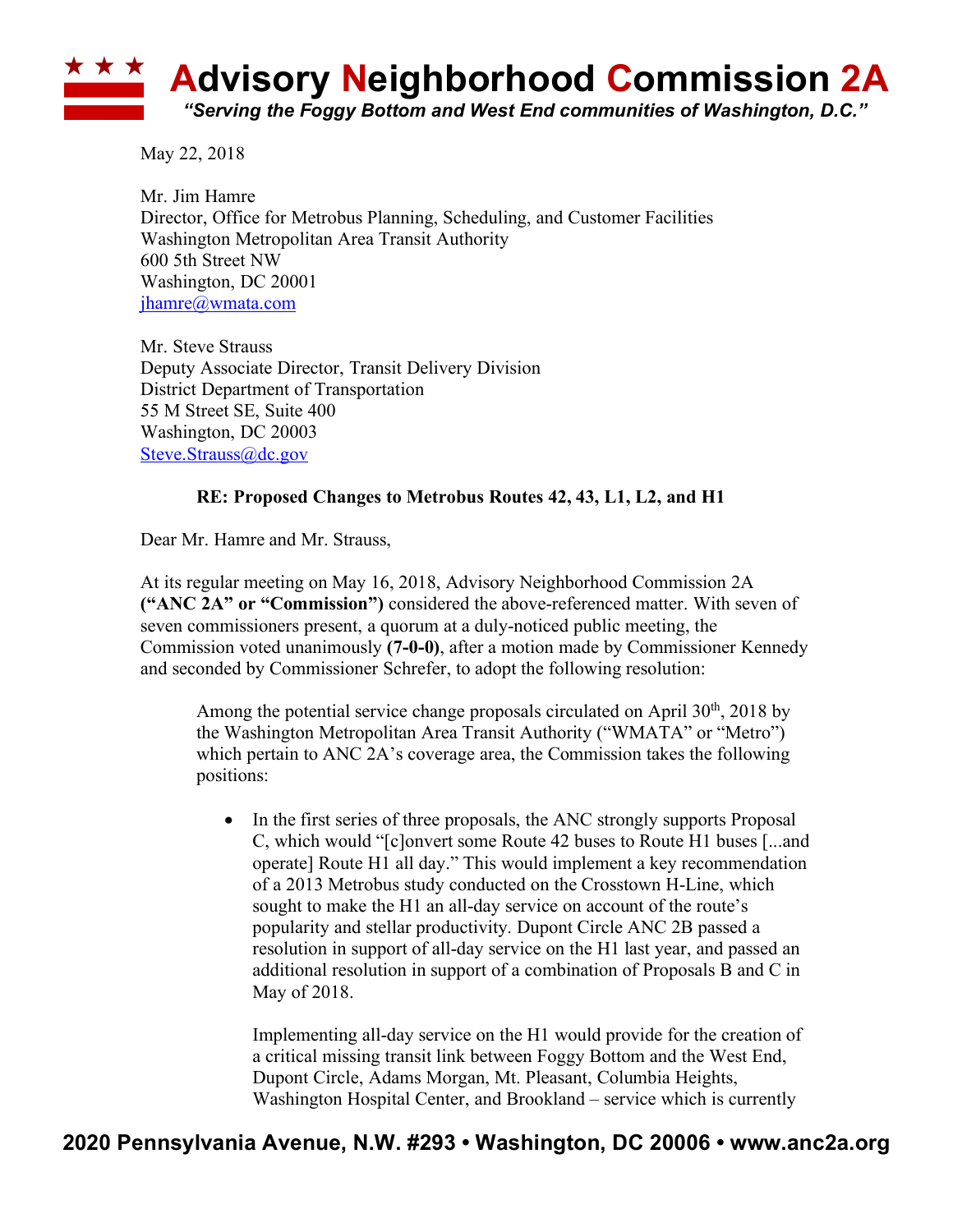## **Advisory Neighborhood Commission 2A** *"Serving the Foggy Bottom and West End communities of Washington, D.C."*

May 22, 2018

Mr. Jim Hamre Director, Office for Metrobus Planning, Scheduling, and Customer Facilities Washington Metropolitan Area Transit Authority 600 5th Street NW Washington, DC 20001 jhamre@wmata.com

Mr. Steve Strauss Deputy Associate Director, Transit Delivery Division District Department of Transportation 55 M Street SE, Suite 400 Washington, DC 20003 Steve.Strauss@dc.gov

## **RE: Proposed Changes to Metrobus Routes 42, 43, L1, L2, and H1**

Dear Mr. Hamre and Mr. Strauss,

At its regular meeting on May 16, 2018, Advisory Neighborhood Commission 2A **("ANC 2A" or "Commission")** considered the above-referenced matter. With seven of seven commissioners present, a quorum at a duly-noticed public meeting, the Commission voted unanimously **(7-0-0)**, after a motion made by Commissioner Kennedy and seconded by Commissioner Schrefer, to adopt the following resolution:

Among the potential service change proposals circulated on April  $30<sup>th</sup>$ , 2018 by the Washington Metropolitan Area Transit Authority ("WMATA" or "Metro") which pertain to ANC 2A's coverage area, the Commission takes the following positions:

• In the first series of three proposals, the ANC strongly supports Proposal C, which would "[c]onvert some Route 42 buses to Route H1 buses [...and operate] Route H1 all day." This would implement a key recommendation of a 2013 Metrobus study conducted on the Crosstown H-Line, which sought to make the H1 an all-day service on account of the route's popularity and stellar productivity. Dupont Circle ANC 2B passed a resolution in support of all-day service on the H1 last year, and passed an additional resolution in support of a combination of Proposals B and C in May of 2018.

Implementing all-day service on the H1 would provide for the creation of a critical missing transit link between Foggy Bottom and the West End, Dupont Circle, Adams Morgan, Mt. Pleasant, Columbia Heights, Washington Hospital Center, and Brookland – service which is currently

## **2020 Pennsylvania Avenue, N.W. #293 • Washington, DC 20006 • www.anc2a.org**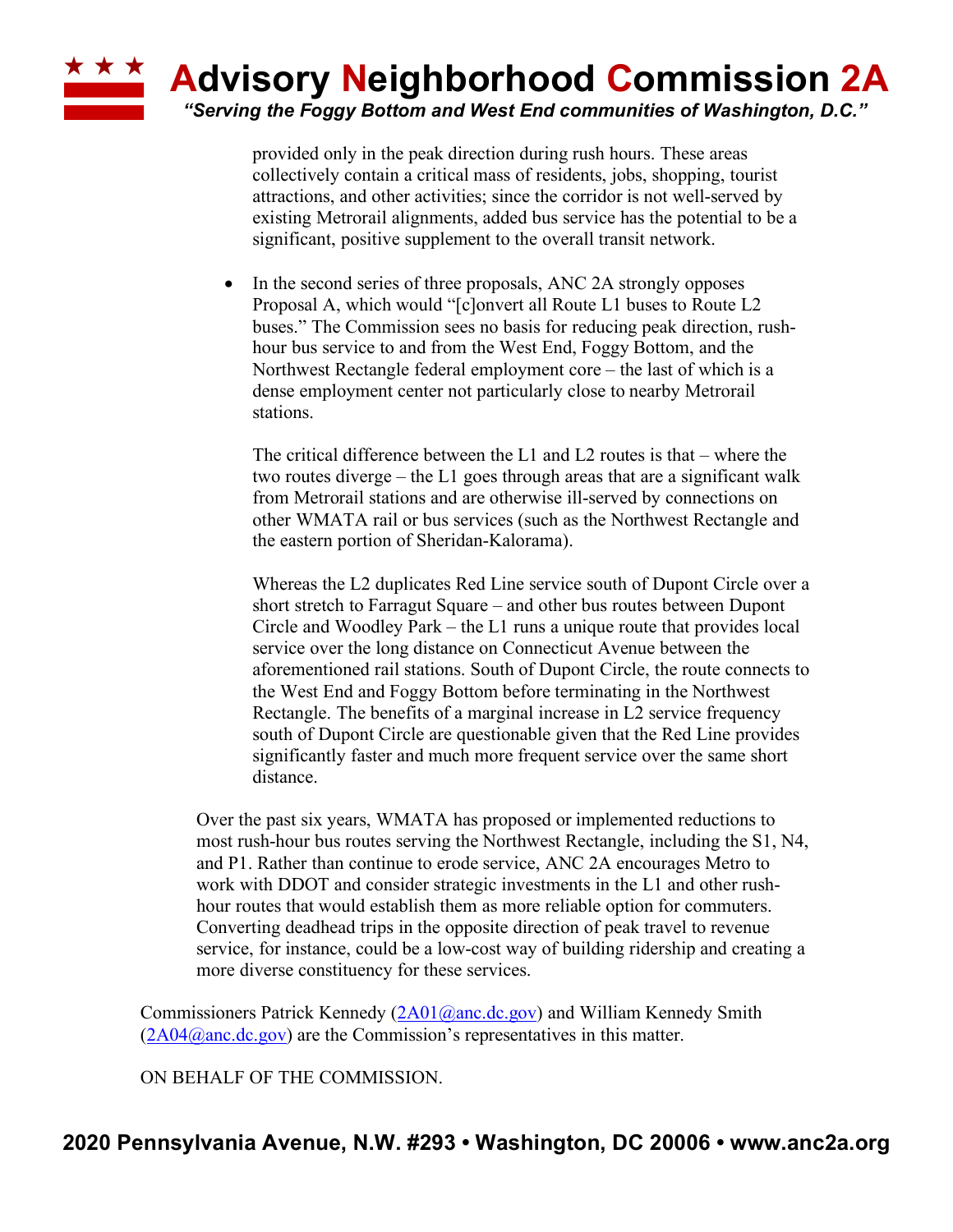

provided only in the peak direction during rush hours. These areas collectively contain a critical mass of residents, jobs, shopping, tourist attractions, and other activities; since the corridor is not well-served by existing Metrorail alignments, added bus service has the potential to be a significant, positive supplement to the overall transit network.

• In the second series of three proposals, ANC 2A strongly opposes Proposal A, which would "[c]onvert all Route L1 buses to Route L2 buses." The Commission sees no basis for reducing peak direction, rushhour bus service to and from the West End, Foggy Bottom, and the Northwest Rectangle federal employment core – the last of which is a dense employment center not particularly close to nearby Metrorail stations.

The critical difference between the L1 and L2 routes is that – where the two routes diverge – the L1 goes through areas that are a significant walk from Metrorail stations and are otherwise ill-served by connections on other WMATA rail or bus services (such as the Northwest Rectangle and the eastern portion of Sheridan-Kalorama).

Whereas the L2 duplicates Red Line service south of Dupont Circle over a short stretch to Farragut Square – and other bus routes between Dupont Circle and Woodley Park – the L1 runs a unique route that provides local service over the long distance on Connecticut Avenue between the aforementioned rail stations. South of Dupont Circle, the route connects to the West End and Foggy Bottom before terminating in the Northwest Rectangle. The benefits of a marginal increase in L2 service frequency south of Dupont Circle are questionable given that the Red Line provides significantly faster and much more frequent service over the same short distance.

Over the past six years, WMATA has proposed or implemented reductions to most rush-hour bus routes serving the Northwest Rectangle, including the S1, N4, and P1. Rather than continue to erode service, ANC 2A encourages Metro to work with DDOT and consider strategic investments in the L1 and other rushhour routes that would establish them as more reliable option for commuters. Converting deadhead trips in the opposite direction of peak travel to revenue service, for instance, could be a low-cost way of building ridership and creating a more diverse constituency for these services.

Commissioners Patrick Kennedy (2A01@anc.dc.gov) and William Kennedy Smith  $(2A04@anc.de.gov)$  are the Commission's representatives in this matter.

ON BEHALF OF THE COMMISSION.